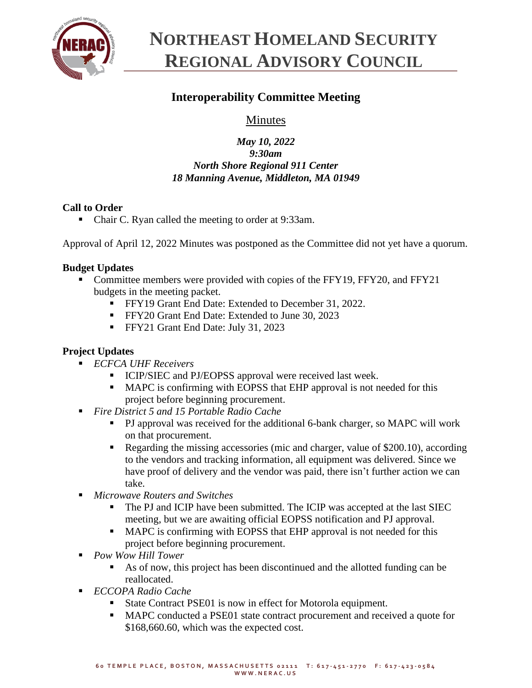

# **NORTHEAST HOMELAND SECURITY REGIONAL ADVISORY COUNCIL**

# **Interoperability Committee Meeting**

# Minutes

## *May 10, 2022 9:30am North Shore Regional 911 Center 18 Manning Avenue, Middleton, MA 01949*

# **Call to Order**

■ Chair C. Ryan called the meeting to order at 9:33am.

Approval of April 12, 2022 Minutes was postponed as the Committee did not yet have a quorum.

# **Budget Updates**

- Committee members were provided with copies of the FFY19, FFY20, and FFY21 budgets in the meeting packet.
	- **FFY19 Grant End Date: Extended to December 31, 2022.**
	- **•** FFY20 Grant End Date: Extended to June 30, 2023
	- **•** FFY21 Grant End Date: July 31, 2023

# **Project Updates**

- *ECFCA UHF Receivers*
	- **EXECUTE 1 ICIP/SIEC** and PJ/EOPSS approval were received last week.
	- MAPC is confirming with EOPSS that EHP approval is not needed for this project before beginning procurement.
- *Fire District 5 and 15 Portable Radio Cache* 
	- PJ approval was received for the additional 6-bank charger, so MAPC will work on that procurement.
	- Regarding the missing accessories (mic and charger, value of \$200.10), according to the vendors and tracking information, all equipment was delivered. Since we have proof of delivery and the vendor was paid, there isn't further action we can take.
- *Microwave Routers and Switches* 
	- The PJ and ICIP have been submitted. The ICIP was accepted at the last SIEC meeting, but we are awaiting official EOPSS notification and PJ approval.
	- MAPC is confirming with EOPSS that EHP approval is not needed for this project before beginning procurement.
- *Pow Wow Hill Tower*
	- As of now, this project has been discontinued and the allotted funding can be reallocated.
- *ECCOPA Radio Cache*
	- State Contract PSE01 is now in effect for Motorola equipment.
	- MAPC conducted a PSE01 state contract procurement and received a quote for \$168,660.60, which was the expected cost.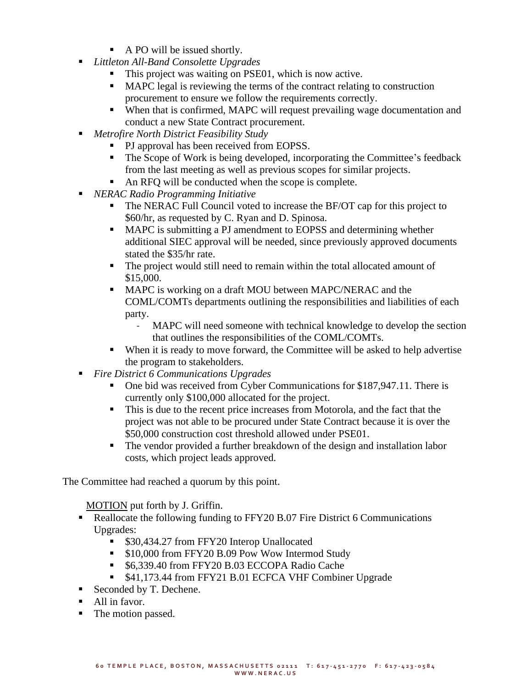- A PO will be issued shortly.
- *Littleton All-Band Consolette Upgrades*
	- This project was waiting on PSE01, which is now active.
	- MAPC legal is reviewing the terms of the contract relating to construction procurement to ensure we follow the requirements correctly.
	- When that is confirmed, MAPC will request prevailing wage documentation and conduct a new State Contract procurement.
- *Metrofire North District Feasibility Study*
	- PJ approval has been received from EOPSS.
	- The Scope of Work is being developed, incorporating the Committee's feedback from the last meeting as well as previous scopes for similar projects.
	- An RFQ will be conducted when the scope is complete.
- *NERAC Radio Programming Initiative* 
	- The NERAC Full Council voted to increase the BF/OT cap for this project to \$60/hr, as requested by C. Ryan and D. Spinosa.
	- MAPC is submitting a PJ amendment to EOPSS and determining whether additional SIEC approval will be needed, since previously approved documents stated the \$35/hr rate.
	- The project would still need to remain within the total allocated amount of \$15,000.
	- MAPC is working on a draft MOU between MAPC/NERAC and the COML/COMTs departments outlining the responsibilities and liabilities of each party.
		- MAPC will need someone with technical knowledge to develop the section that outlines the responsibilities of the COML/COMTs.
	- When it is ready to move forward, the Committee will be asked to help advertise the program to stakeholders.
- *Fire District 6 Communications Upgrades*
	- One bid was received from Cyber Communications for \$187,947.11. There is currently only \$100,000 allocated for the project.
	- This is due to the recent price increases from Motorola, and the fact that the project was not able to be procured under State Contract because it is over the \$50,000 construction cost threshold allowed under PSE01.
	- The vendor provided a further breakdown of the design and installation labor costs, which project leads approved.

The Committee had reached a quorum by this point.

MOTION put forth by J. Griffin.

- Reallocate the following funding to FFY20 B.07 Fire District 6 Communications Upgrades:
	- \$30,434.27 from FFY20 Interop Unallocated
	- \$10,000 from FFY20 B.09 Pow Wow Intermod Study
	- \$6,339.40 from FFY20 B.03 ECCOPA Radio Cache
	- \$41,173.44 from FFY21 B.01 ECFCA VHF Combiner Upgrade
- Seconded by T. Dechene.
- All in favor.
- The motion passed.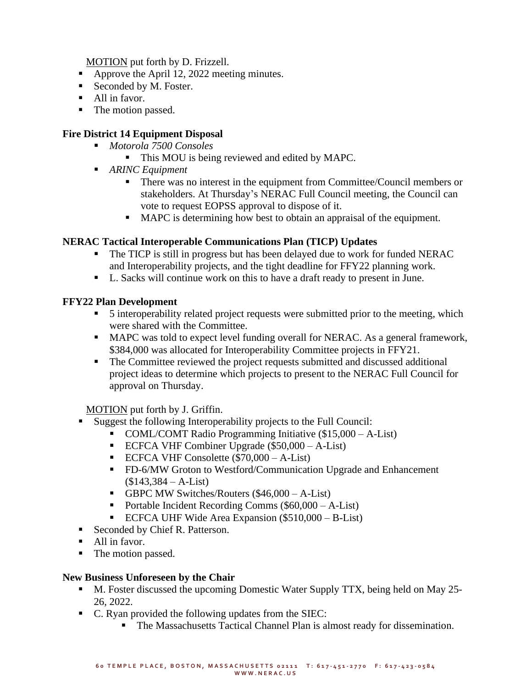MOTION put forth by D. Frizzell.

- Approve the April 12, 2022 meeting minutes.
- Seconded by M. Foster.
- All in favor.
- The motion passed.

## **Fire District 14 Equipment Disposal**

- *Motorola 7500 Consoles*
	- **This MOU is being reviewed and edited by MAPC.**
- *ARINC Equipment* 
	- There was no interest in the equipment from Committee/Council members or stakeholders. At Thursday's NERAC Full Council meeting, the Council can vote to request EOPSS approval to dispose of it.
	- MAPC is determining how best to obtain an appraisal of the equipment.

#### **NERAC Tactical Interoperable Communications Plan (TICP) Updates**

- The TICP is still in progress but has been delayed due to work for funded NERAC and Interoperability projects, and the tight deadline for FFY22 planning work.
- L. Sacks will continue work on this to have a draft ready to present in June.

#### **FFY22 Plan Development**

- 5 interoperability related project requests were submitted prior to the meeting, which were shared with the Committee.
- MAPC was told to expect level funding overall for NERAC. As a general framework, \$384,000 was allocated for Interoperability Committee projects in FFY21.
- The Committee reviewed the project requests submitted and discussed additional project ideas to determine which projects to present to the NERAC Full Council for approval on Thursday.

MOTION put forth by J. Griffin.

- Suggest the following Interoperability projects to the Full Council:
	- COML/COMT Radio Programming Initiative (\$15,000 A-List)
	- **•** ECFCA VHF Combiner Upgrade ( $$50,000 A-List$ )
	- $\blacksquare$  ECFCA VHF Consolette (\$70,000 A-List)
	- FD-6/MW Groton to Westford/Communication Upgrade and Enhancement  $($143,384 - A-List)$
	- **GBPC MW Switches/Routers (\$46,000 A-List)**
	- Portable Incident Recording Comms (\$60,000 A-List)
	- ECFCA UHF Wide Area Expansion  $(\$510,000 B-List)$
- Seconded by Chief R. Patterson.
- All in favor.
- The motion passed.

#### **New Business Unforeseen by the Chair**

- M. Foster discussed the upcoming Domestic Water Supply TTX, being held on May 25-26, 2022.
- C. Ryan provided the following updates from the SIEC:
	- The Massachusetts Tactical Channel Plan is almost ready for dissemination.